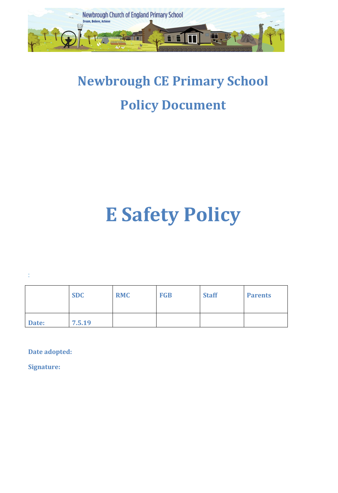

# **Newbrough CE Primary School Policy Document**

# **E Safety Policy**

:

|       | <b>SDC</b> | <b>RMC</b> | <b>FGB</b> | <b>Staff</b> | <b>Parents</b> |
|-------|------------|------------|------------|--------------|----------------|
| Date: | 7.5.19     |            |            |              |                |

**Date adopted:** 

**Signature:**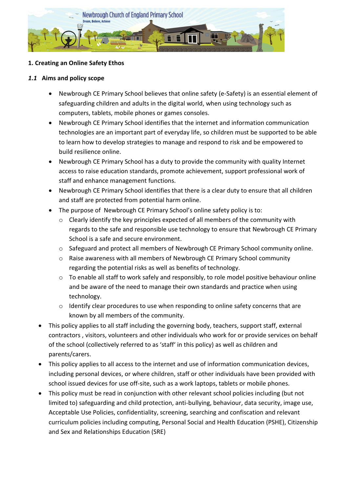

#### **1. Creating an Online Safety Ethos**

#### *1.1* **Aims and policy scope**

- Newbrough CE Primary School believes that online safety (e-Safety) is an essential element of safeguarding children and adults in the digital world, when using technology such as computers, tablets, mobile phones or games consoles.
- Newbrough CE Primary School identifies that the internet and information communication technologies are an important part of everyday life, so children must be supported to be able to learn how to develop strategies to manage and respond to risk and be empowered to build resilience online.
- Newbrough CE Primary School has a duty to provide the community with quality Internet access to raise education standards, promote achievement, support professional work of staff and enhance management functions.
- Newbrough CE Primary School identifies that there is a clear duty to ensure that all children and staff are protected from potential harm online.
- The purpose of Newbrough CE Primary School's online safety policy is to:
	- o Clearly identify the key principles expected of all members of the community with regards to the safe and responsible use technology to ensure that Newbrough CE Primary School is a safe and secure environment.
	- o Safeguard and protect all members of Newbrough CE Primary School community online.
	- o Raise awareness with all members of Newbrough CE Primary School community regarding the potential risks as well as benefits of technology.
	- $\circ$  To enable all staff to work safely and responsibly, to role model positive behaviour online and be aware of the need to manage their own standards and practice when using technology.
	- o Identify clear procedures to use when responding to online safety concerns that are known by all members of the community.
- This policy applies to all staff including the governing body, teachers, support staff, external contractors , visitors, volunteers and other individuals who work for or provide services on behalf of the school (collectively referred to as 'staff' in this policy) as well as children and parents/carers.
- This policy applies to all access to the internet and use of information communication devices, including personal devices, or where children, staff or other individuals have been provided with school issued devices for use off-site, such as a work laptops, tablets or mobile phones.
- This policy must be read in conjunction with other relevant school policies including (but not limited to) safeguarding and child protection, anti-bullying, behaviour, data security, image use, Acceptable Use Policies, confidentiality, screening, searching and confiscation and relevant curriculum policies including computing, Personal Social and Health Education (PSHE), Citizenship and Sex and Relationships Education (SRE)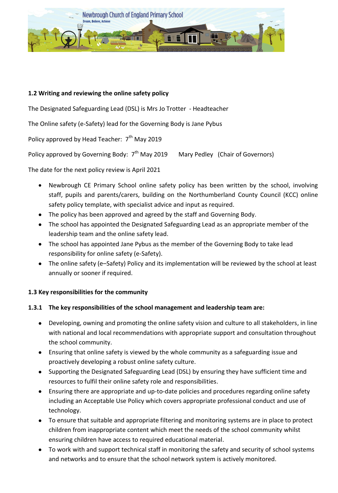

#### **1.2 Writing and reviewing the online safety policy**

The Designated Safeguarding Lead (DSL) is Mrs Jo Trotter - Headteacher

The Online safety (e-Safety) lead for the Governing Body is Jane Pybus

Policy approved by Head Teacher: 7<sup>th</sup> May 2019

Policy approved by Governing Body: 7<sup>th</sup> May 2019 Mary Pedley (Chair of Governors)

The date for the next policy review is April 2021

- Newbrough CE Primary School online safety policy has been written by the school, involving staff, pupils and parents/carers, building on the Northumberland County Council (KCC) online safety policy template, with specialist advice and input as required.
- The policy has been approved and agreed by the staff and Governing Body.
- The school has appointed the Designated Safeguarding Lead as an appropriate member of the leadership team and the online safety lead.
- The school has appointed Jane Pybus as the member of the Governing Body to take lead responsibility for online safety (e-Safety).
- The online safety (e–Safety) Policy and its implementation will be reviewed by the school at least annually or sooner if required.

#### **1.3 Key responsibilities for the community**

#### **1.3.1 The key responsibilities of the school management and leadership team are:**

- Developing, owning and promoting the online safety vision and culture to all stakeholders, in line with national and local recommendations with appropriate support and consultation throughout the school community.
- Ensuring that online safety is viewed by the whole community as a safeguarding issue and proactively developing a robust online safety culture.
- Supporting the Designated Safeguarding Lead (DSL) by ensuring they have sufficient time and resources to fulfil their online safety role and responsibilities.
- Ensuring there are appropriate and up-to-date policies and procedures regarding online safety including an Acceptable Use Policy which covers appropriate professional conduct and use of technology.
- To ensure that suitable and appropriate filtering and monitoring systems are in place to protect children from inappropriate content which meet the needs of the school community whilst ensuring children have access to required educational material.
- To work with and support technical staff in monitoring the safety and security of school systems and networks and to ensure that the school network system is actively monitored.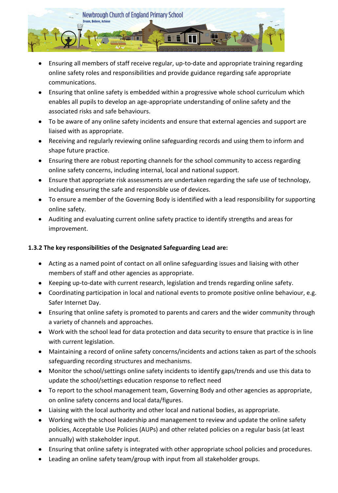

- Ensuring all members of staff receive regular, up-to-date and appropriate training regarding online safety roles and responsibilities and provide guidance regarding safe appropriate communications.
- Ensuring that online safety is embedded within a progressive whole school curriculum which enables all pupils to develop an age-appropriate understanding of online safety and the associated risks and safe behaviours.
- To be aware of any online safety incidents and ensure that external agencies and support are liaised with as appropriate.
- Receiving and regularly reviewing online safeguarding records and using them to inform and shape future practice.
- Ensuring there are robust reporting channels for the school community to access regarding online safety concerns, including internal, local and national support.
- Ensure that appropriate risk assessments are undertaken regarding the safe use of technology, including ensuring the safe and responsible use of devices.
- To ensure a member of the Governing Body is identified with a lead responsibility for supporting online safety.
- Auditing and evaluating current online safety practice to identify strengths and areas for improvement.

# **1.3.2 The key responsibilities of the Designated Safeguarding Lead are:**

- Acting as a named point of contact on all online safeguarding issues and liaising with other members of staff and other agencies as appropriate.
- Keeping up-to-date with current research, legislation and trends regarding online safety.
- Coordinating participation in local and national events to promote positive online behaviour, e.g. Safer Internet Day.
- Ensuring that online safety is promoted to parents and carers and the wider community through a variety of channels and approaches.
- Work with the school lead for data protection and data security to ensure that practice is in line with current legislation.
- Maintaining a record of online safety concerns/incidents and actions taken as part of the schools safeguarding recording structures and mechanisms.
- Monitor the school/settings online safety incidents to identify gaps/trends and use this data to update the school/settings education response to reflect need
- To report to the school management team, Governing Body and other agencies as appropriate, on online safety concerns and local data/figures.
- Liaising with the local authority and other local and national bodies, as appropriate.
- Working with the school leadership and management to review and update the online safety policies, Acceptable Use Policies (AUPs) and other related policies on a regular basis (at least annually) with stakeholder input.
- Ensuring that online safety is integrated with other appropriate school policies and procedures.
- Leading an online safety team/group with input from all stakeholder groups.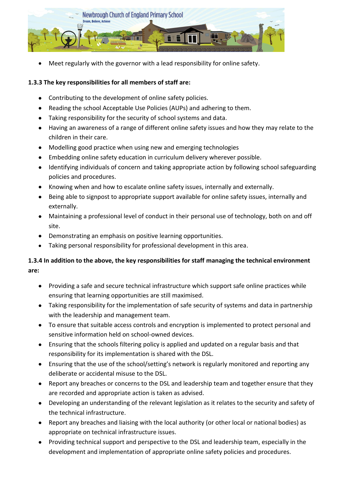

Meet regularly with the governor with a lead responsibility for online safety.

### **1.3.3 The key responsibilities for all members of staff are:**

- Contributing to the development of online safety policies.
- Reading the school Acceptable Use Policies (AUPs) and adhering to them.
- Taking responsibility for the security of school systems and data.
- Having an awareness of a range of different online safety issues and how they may relate to the children in their care.
- Modelling good practice when using new and emerging technologies
- Embedding online safety education in curriculum delivery wherever possible.
- Identifying individuals of concern and taking appropriate action by following school safeguarding policies and procedures.
- Knowing when and how to escalate online safety issues, internally and externally.
- Being able to signpost to appropriate support available for online safety issues, internally and externally.
- Maintaining a professional level of conduct in their personal use of technology, both on and off site.
- Demonstrating an emphasis on positive learning opportunities.
- Taking personal responsibility for professional development in this area.

# **1.3.4 In addition to the above, the key responsibilities for staff managing the technical environment are:**

- Providing a safe and secure technical infrastructure which support safe online practices while ensuring that learning opportunities are still maximised.
- Taking responsibility for the implementation of safe security of systems and data in partnership with the leadership and management team.
- To ensure that suitable access controls and encryption is implemented to protect personal and sensitive information held on school-owned devices.
- Ensuring that the schools filtering policy is applied and updated on a regular basis and that responsibility for its implementation is shared with the DSL.
- Ensuring that the use of the school/setting's network is regularly monitored and reporting any deliberate or accidental misuse to the DSL.
- Report any breaches or concerns to the DSL and leadership team and together ensure that they are recorded and appropriate action is taken as advised.
- Developing an understanding of the relevant legislation as it relates to the security and safety of the technical infrastructure.
- Report any breaches and liaising with the local authority (or other local or national bodies) as appropriate on technical infrastructure issues.
- Providing technical support and perspective to the DSL and leadership team, especially in the development and implementation of appropriate online safety policies and procedures.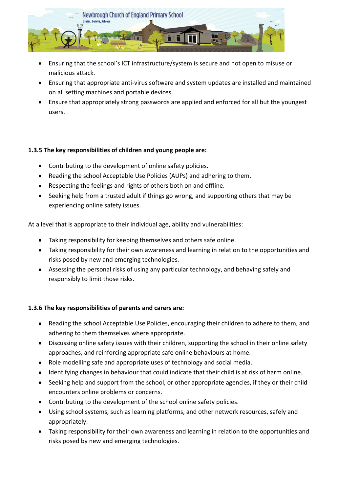

- Ensuring that the school's ICT infrastructure/system is secure and not open to misuse or malicious attack.
- Ensuring that appropriate anti-virus software and system updates are installed and maintained on all setting machines and portable devices.
- Ensure that appropriately strong passwords are applied and enforced for all but the youngest users.

#### **1.3.5 The key responsibilities of children and young people are:**

- Contributing to the development of online safety policies.
- Reading the school Acceptable Use Policies (AUPs) and adhering to them.
- Respecting the feelings and rights of others both on and offline.
- Seeking help from a trusted adult if things go wrong, and supporting others that may be experiencing online safety issues.

At a level that is appropriate to their individual age, ability and vulnerabilities:

- Taking responsibility for keeping themselves and others safe online.
- Taking responsibility for their own awareness and learning in relation to the opportunities and risks posed by new and emerging technologies.
- Assessing the personal risks of using any particular technology, and behaving safely and responsibly to limit those risks.

# **1.3.6 The key responsibilities of parents and carers are:**

- Reading the school Acceptable Use Policies, encouraging their children to adhere to them, and adhering to them themselves where appropriate.
- Discussing online safety issues with their children, supporting the school in their online safety approaches, and reinforcing appropriate safe online behaviours at home.
- Role modelling safe and appropriate uses of technology and social media.
- Identifying changes in behaviour that could indicate that their child is at risk of harm online.
- Seeking help and support from the school, or other appropriate agencies, if they or their child encounters online problems or concerns.
- Contributing to the development of the school online safety policies.
- Using school systems, such as learning platforms, and other network resources, safely and appropriately.
- Taking responsibility for their own awareness and learning in relation to the opportunities and risks posed by new and emerging technologies.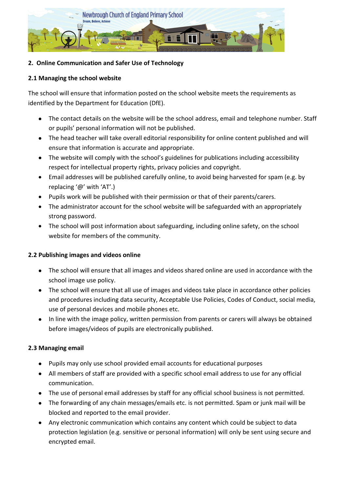

#### **2. Online Communication and Safer Use of Technology**

#### **2.1 Managing the school website**

The school will ensure that information posted on the school website meets the requirements as identified by the Department for Education (DfE).

- The contact details on the website will be the school address, email and telephone number. Staff or pupils' personal information will not be published.
- The head teacher will take overall editorial responsibility for online content published and will ensure that information is accurate and appropriate.
- The website will comply with the school's guidelines for publications including accessibility respect for intellectual property rights, privacy policies and copyright.
- Email addresses will be published carefully online, to avoid being harvested for spam (e.g. by replacing '@' with 'AT'.)
- Pupils work will be published with their permission or that of their parents/carers.
- The administrator account for the school website will be safeguarded with an appropriately strong password.
- The school will post information about safeguarding, including online safety, on the school website for members of the community.

#### **2.2 Publishing images and videos online**

- The school will ensure that all images and videos shared online are used in accordance with the school image use policy.
- The school will ensure that all use of images and videos take place in accordance other policies and procedures including data security, Acceptable Use Policies, Codes of Conduct, social media, use of personal devices and mobile phones etc.
- In line with the image policy, written permission from parents or carers will always be obtained before images/videos of pupils are electronically published.

# **2.3 Managing email**

- Pupils may only use school provided email accounts for educational purposes
- All members of staff are provided with a specific school email address to use for any official communication.
- The use of personal email addresses by staff for any official school business is not permitted.
- The forwarding of any chain messages/emails etc. is not permitted. Spam or junk mail will be blocked and reported to the email provider.
- Any electronic communication which contains any content which could be subject to data protection legislation (e.g. sensitive or personal information) will only be sent using secure and encrypted email.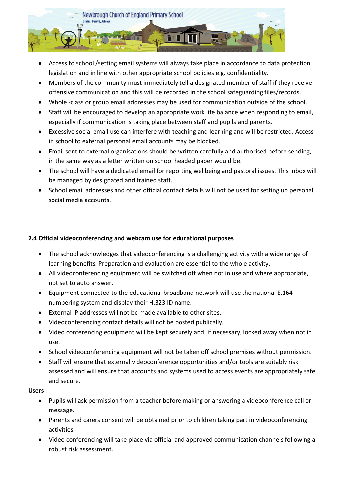

- Access to school /setting email systems will always take place in accordance to data protection legislation and in line with other appropriate school policies e.g. confidentiality.
- Members of the community must immediately tell a designated member of staff if they receive offensive communication and this will be recorded in the school safeguarding files/records.
- Whole -class or group email addresses may be used for communication outside of the school.
- Staff will be encouraged to develop an appropriate work life balance when responding to email, especially if communication is taking place between staff and pupils and parents.
- Excessive social email use can interfere with teaching and learning and will be restricted. Access in school to external personal email accounts may be blocked.
- Email sent to external organisations should be written carefully and authorised before sending, in the same way as a letter written on school headed paper would be.
- The school will have a dedicated email for reporting wellbeing and pastoral issues. This inbox will be managed by designated and trained staff.
- School email addresses and other official contact details will not be used for setting up personal social media accounts.

#### **2.4 Official videoconferencing and webcam use for educational purposes**

- The school acknowledges that videoconferencing is a challenging activity with a wide range of learning benefits. Preparation and evaluation are essential to the whole activity.
- All videoconferencing equipment will be switched off when not in use and where appropriate, not set to auto answer.
- Equipment connected to the educational broadband network will use the national E.164 numbering system and display their H.323 ID name.
- External IP addresses will not be made available to other sites.
- Videoconferencing contact details will not be posted publically.
- Video conferencing equipment will be kept securely and, if necessary, locked away when not in use.
- School videoconferencing equipment will not be taken off school premises without permission.
- Staff will ensure that external videoconference opportunities and/or tools are suitably risk assessed and will ensure that accounts and systems used to access events are appropriately safe and secure.

#### **Users**

- Pupils will ask permission from a teacher before making or answering a videoconference call or message.
- Parents and carers consent will be obtained prior to children taking part in videoconferencing activities.
- Video conferencing will take place via official and approved communication channels following a robust risk assessment.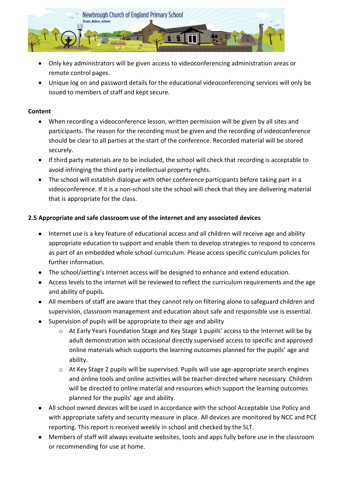

- Only key administrators will be given access to videoconferencing administration areas or remote control pages.
- Unique log on and password details for the educational videoconferencing services will only be issued to members of staff and kept secure.

#### **Content**

- When recording a videoconference lesson, written permission will be given by all sites and participants. The reason for the recording must be given and the recording of videoconference should be clear to all parties at the start of the conference. Recorded material will be stored securely.
- If third party materials are to be included, the school will check that recording is acceptable to avoid infringing the third party intellectual property rights.
- The school will establish dialogue with other conference participants before taking part in a videoconference. If it is a non-school site the school will check that they are delivering material that is appropriate for the class.

#### **2.5 Appropriate and safe classroom use of the internet and any associated devices**

- Internet use is a key feature of educational access and all children will receive age and ability appropriate education to support and enable them to develop strategies to respond to concerns as part of an embedded whole school curriculum. Please access specific curriculum policies for further information.
- The school/setting's internet access will be designed to enhance and extend education.
- Access levels to the internet will be reviewed to reflect the curriculum requirements and the age and ability of pupils.
- All members of staff are aware that they cannot rely on filtering alone to safeguard children and supervision, classroom management and education about safe and responsible use is essential.
- Supervision of pupils will be appropriate to their age and ability
	- o At Early Years Foundation Stage and Key Stage 1 pupils' access to the Internet will be by adult demonstration with occasional directly supervised access to specific and approved online materials which supports the learning outcomes planned for the pupils' age and ability.
	- o At Key Stage 2 pupils will be supervised. Pupils will use age-appropriate search engines and online tools and online activities will be teacher-directed where necessary. Children will be directed to online material and resources which support the learning outcomes planned for the pupils' age and ability.
- All school owned devices will be used in accordance with the school Acceptable Use Policy and with appropriate safety and security measure in place. All devices are monitored by NCC and PCE reporting. This report is received weekly in school and checked by the SLT.
- Members of staff will always evaluate websites, tools and apps fully before use in the classroom or recommending for use at home.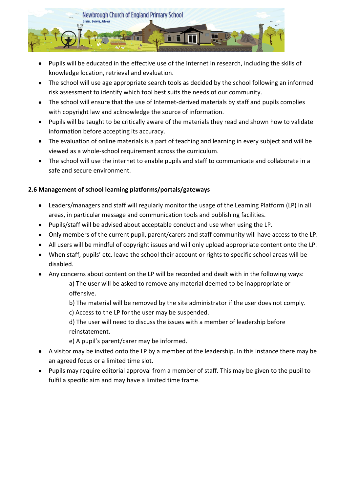

- Pupils will be educated in the effective use of the Internet in research, including the skills of knowledge location, retrieval and evaluation.
- The school will use age appropriate search tools as decided by the school following an informed risk assessment to identify which tool best suits the needs of our community.
- The school will ensure that the use of Internet-derived materials by staff and pupils complies with copyright law and acknowledge the source of information.
- Pupils will be taught to be critically aware of the materials they read and shown how to validate information before accepting its accuracy.
- The evaluation of online materials is a part of teaching and learning in every subject and will be viewed as a whole-school requirement across the curriculum.
- The school will use the internet to enable pupils and staff to communicate and collaborate in a safe and secure environment.

# **2.6 Management of school learning platforms/portals/gateways**

- Leaders/managers and staff will regularly monitor the usage of the Learning Platform (LP) in all areas, in particular message and communication tools and publishing facilities.
- Pupils/staff will be advised about acceptable conduct and use when using the LP.
- Only members of the current pupil, parent/carers and staff community will have access to the LP.
- All users will be mindful of copyright issues and will only upload appropriate content onto the LP.
- When staff, pupils' etc. leave the school their account or rights to specific school areas will be disabled.
- Any concerns about content on the LP will be recorded and dealt with in the following ways:

a) The user will be asked to remove any material deemed to be inappropriate or offensive.

- b) The material will be removed by the site administrator if the user does not comply.
- c) Access to the LP for the user may be suspended.

d) The user will need to discuss the issues with a member of leadership before reinstatement.

e) A pupil's parent/carer may be informed.

- A visitor may be invited onto the LP by a member of the leadership. In this instance there may be an agreed focus or a limited time slot.
- Pupils may require editorial approval from a member of staff. This may be given to the pupil to fulfil a specific aim and may have a limited time frame.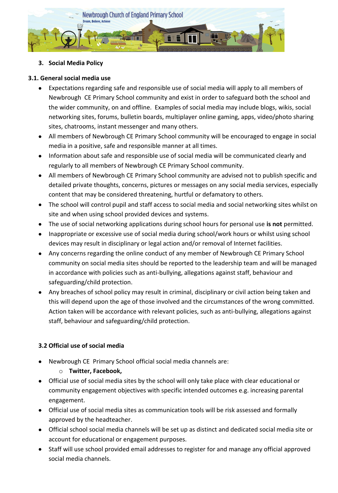

#### **3. Social Media Policy**

# **3.1. General social media use**

- Expectations regarding safe and responsible use of social media will apply to all members of Newbrough CE Primary School community and exist in order to safeguard both the school and the wider community, on and offline. Examples of social media may include blogs, wikis, social networking sites, forums, bulletin boards, multiplayer online gaming, apps, video/photo sharing sites, chatrooms, instant messenger and many others.
- All members of Newbrough CE Primary School community will be encouraged to engage in social media in a positive, safe and responsible manner at all times.
- Information about safe and responsible use of social media will be communicated clearly and regularly to all members of Newbrough CE Primary School community.
- All members of Newbrough CE Primary School community are advised not to publish specific and detailed private thoughts, concerns, pictures or messages on any social media services, especially content that may be considered threatening, hurtful or defamatory to others.
- The school will control pupil and staff access to social media and social networking sites whilst on site and when using school provided devices and systems.
- The use of social networking applications during school hours for personal use **is not** permitted.
- Inappropriate or excessive use of social media during school/work hours or whilst using school devices may result in disciplinary or legal action and/or removal of Internet facilities.
- Any concerns regarding the online conduct of any member of Newbrough CE Primary School community on social media sites should be reported to the leadership team and will be managed in accordance with policies such as anti-bullying, allegations against staff, behaviour and safeguarding/child protection.
- Any breaches of school policy may result in criminal, disciplinary or civil action being taken and this will depend upon the age of those involved and the circumstances of the wrong committed. Action taken will be accordance with relevant policies, such as anti-bullying, allegations against staff, behaviour and safeguarding/child protection.

# **3.2 Official use of social media**

- Newbrough CE Primary School official social media channels are:
	- o **Twitter, Facebook,**
- Official use of social media sites by the school will only take place with clear educational or community engagement objectives with specific intended outcomes e.g. increasing parental engagement.
- Official use of social media sites as communication tools will be risk assessed and formally approved by the headteacher.
- Official school social media channels will be set up as distinct and dedicated social media site or account for educational or engagement purposes.
- Staff will use school provided email addresses to register for and manage any official approved social media channels.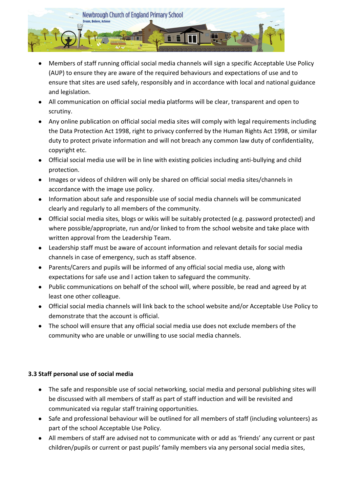

- Members of staff running official social media channels will sign a specific Acceptable Use Policy (AUP) to ensure they are aware of the required behaviours and expectations of use and to ensure that sites are used safely, responsibly and in accordance with local and national guidance and legislation.
- All communication on official social media platforms will be clear, transparent and open to scrutiny.
- Any online publication on official social media sites will comply with legal requirements including the Data Protection Act 1998, right to privacy conferred by the Human Rights Act 1998, or similar duty to protect private information and will not breach any common law duty of confidentiality, copyright etc.
- Official social media use will be in line with existing policies including anti-bullying and child protection.
- Images or videos of children will only be shared on official social media sites/channels in accordance with the image use policy.
- Information about safe and responsible use of social media channels will be communicated clearly and regularly to all members of the community.
- Official social media sites, blogs or wikis will be suitably protected (e.g. password protected) and where possible/appropriate, run and/or linked to from the school website and take place with written approval from the Leadership Team.
- Leadership staff must be aware of account information and relevant details for social media channels in case of emergency, such as staff absence.
- Parents/Carers and pupils will be informed of any official social media use, along with expectations for safe use and l action taken to safeguard the community.
- Public communications on behalf of the school will, where possible, be read and agreed by at least one other colleague.
- Official social media channels will link back to the school website and/or Acceptable Use Policy to demonstrate that the account is official.
- The school will ensure that any official social media use does not exclude members of the community who are unable or unwilling to use social media channels.

# **3.3 Staff personal use of social media**

- The safe and responsible use of social networking, social media and personal publishing sites will be discussed with all members of staff as part of staff induction and will be revisited and communicated via regular staff training opportunities.
- Safe and professional behaviour will be outlined for all members of staff (including volunteers) as part of the school Acceptable Use Policy.
- All members of staff are advised not to communicate with or add as 'friends' any current or past children/pupils or current or past pupils' family members via any personal social media sites,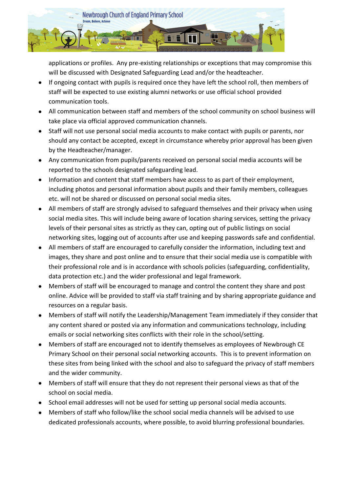

applications or profiles. Any pre-existing relationships or exceptions that may compromise this will be discussed with Designated Safeguarding Lead and/or the headteacher.

- If ongoing contact with pupils is required once they have left the school roll, then members of staff will be expected to use existing alumni networks or use official school provided communication tools.
- All communication between staff and members of the school community on school business will take place via official approved communication channels.
- Staff will not use personal social media accounts to make contact with pupils or parents, nor should any contact be accepted, except in circumstance whereby prior approval has been given by the Headteacher/manager.
- Any communication from pupils/parents received on personal social media accounts will be reported to the schools designated safeguarding lead.
- Information and content that staff members have access to as part of their employment, including photos and personal information about pupils and their family members, colleagues etc. will not be shared or discussed on personal social media sites.
- All members of staff are strongly advised to safeguard themselves and their privacy when using social media sites. This will include being aware of location sharing services, setting the privacy levels of their personal sites as strictly as they can, opting out of public listings on social networking sites, logging out of accounts after use and keeping passwords safe and confidential.
- All members of staff are encouraged to carefully consider the information, including text and images, they share and post online and to ensure that their social media use is compatible with their professional role and is in accordance with schools policies (safeguarding, confidentiality, data protection etc.) and the wider professional and legal framework.
- Members of staff will be encouraged to manage and control the content they share and post online. Advice will be provided to staff via staff training and by sharing appropriate guidance and resources on a regular basis.
- Members of staff will notify the Leadership/Management Team immediately if they consider that any content shared or posted via any information and communications technology, including emails or social networking sites conflicts with their role in the school/setting.
- Members of staff are encouraged not to identify themselves as employees of Newbrough CE Primary School on their personal social networking accounts. This is to prevent information on these sites from being linked with the school and also to safeguard the privacy of staff members and the wider community.
- Members of staff will ensure that they do not represent their personal views as that of the school on social media.
- School email addresses will not be used for setting up personal social media accounts.
- Members of staff who follow/like the school social media channels will be advised to use dedicated professionals accounts, where possible, to avoid blurring professional boundaries.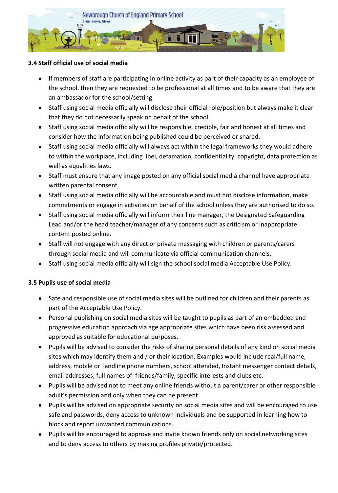

#### **3.4 Staff official use of social media**

- If members of staff are participating in online activity as part of their capacity as an employee of the school, then they are requested to be professional at all times and to be aware that they are an ambassador for the school/setting.
- Staff using social media officially will disclose their official role/position but always make it clear that they do not necessarily speak on behalf of the school.
- Staff using social media officially will be responsible, credible, fair and honest at all times and consider how the information being published could be perceived or shared.
- Staff using social media officially will always act within the legal frameworks they would adhere to within the workplace, including libel, defamation, confidentiality, copyright, data protection as well as equalities laws.
- Staff must ensure that any image posted on any official social media channel have appropriate written parental consent.
- Staff using social media officially will be accountable and must not disclose information, make commitments or engage in activities on behalf of the school unless they are authorised to do so.
- Staff using social media officially will inform their line manager, the Designated Safeguarding Lead and/or the head teacher/manager of any concerns such as criticism or inappropriate content posted online.
- Staff will not engage with any direct or private messaging with children or parents/carers through social media and will communicate via official communication channels.
- Staff using social media officially will sign the school social media Acceptable Use Policy.

#### **3.5 Pupils use of social media**

- Safe and responsible use of social media sites will be outlined for children and their parents as part of the Acceptable Use Policy.
- Personal publishing on social media sites will be taught to pupils as part of an embedded and progressive education approach via age appropriate sites which have been risk assessed and approved as suitable for educational purposes.
- Pupils will be advised to consider the risks of sharing personal details of any kind on social media sites which may identify them and / or their location. Examples would include real/full name, address, mobile or landline phone numbers, school attended, Instant messenger contact details, email addresses, full names of friends/family, specific interests and clubs etc.
- Pupils will be advised not to meet any online friends without a parent/carer or other responsible adult's permission and only when they can be present.
- Pupils will be advised on appropriate security on social media sites and will be encouraged to use safe and passwords, deny access to unknown individuals and be supported in learning how to block and report unwanted communications.
- Pupils will be encouraged to approve and invite known friends only on social networking sites and to deny access to others by making profiles private/protected.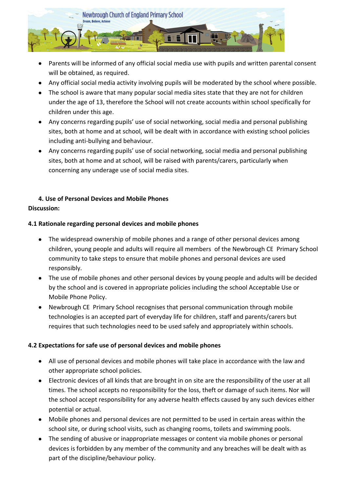

- Parents will be informed of any official social media use with pupils and written parental consent will be obtained, as required.
- Any official social media activity involving pupils will be moderated by the school where possible.
- The school is aware that many popular social media sites state that they are not for children under the age of 13, therefore the School will not create accounts within school specifically for children under this age.
- Any concerns regarding pupils' use of social networking, social media and personal publishing sites, both at home and at school, will be dealt with in accordance with existing school policies including anti-bullying and behaviour.
- Any concerns regarding pupils' use of social networking, social media and personal publishing sites, both at home and at school, will be raised with parents/carers, particularly when concerning any underage use of social media sites.

# **4. Use of Personal Devices and Mobile Phones**

#### **Discussion:**

#### **4.1 Rationale regarding personal devices and mobile phones**

- The widespread ownership of mobile phones and a range of other personal devices among children, young people and adults will require all members of the Newbrough CE Primary School community to take steps to ensure that mobile phones and personal devices are used responsibly.
- The use of mobile phones and other personal devices by young people and adults will be decided by the school and is covered in appropriate policies including the school Acceptable Use or Mobile Phone Policy.
- Newbrough CE Primary School recognises that personal communication through mobile technologies is an accepted part of everyday life for children, staff and parents/carers but requires that such technologies need to be used safely and appropriately within schools.

#### **4.2 Expectations for safe use of personal devices and mobile phones**

- All use of personal devices and mobile phones will take place in accordance with the law and other appropriate school policies.
- Electronic devices of all kinds that are brought in on site are the responsibility of the user at all times. The school accepts no responsibility for the loss, theft or damage of such items. Nor will the school accept responsibility for any adverse health effects caused by any such devices either potential or actual.
- Mobile phones and personal devices are not permitted to be used in certain areas within the school site, or during school visits, such as changing rooms, toilets and swimming pools.
- The sending of abusive or inappropriate messages or content via mobile phones or personal devices is forbidden by any member of the community and any breaches will be dealt with as part of the discipline/behaviour policy.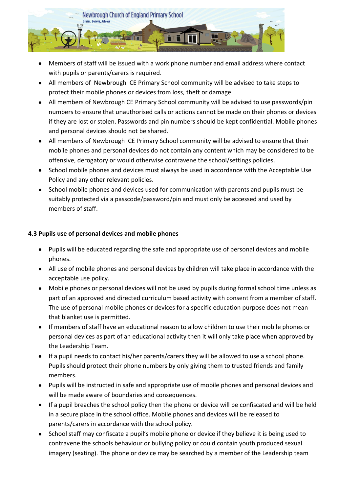

- Members of staff will be issued with a work phone number and email address where contact with pupils or parents/carers is required.
- All members of Newbrough CE Primary School community will be advised to take steps to protect their mobile phones or devices from loss, theft or damage.
- All members of Newbrough CE Primary School community will be advised to use passwords/pin numbers to ensure that unauthorised calls or actions cannot be made on their phones or devices if they are lost or stolen. Passwords and pin numbers should be kept confidential. Mobile phones and personal devices should not be shared.
- All members of Newbrough CE Primary School community will be advised to ensure that their mobile phones and personal devices do not contain any content which may be considered to be offensive, derogatory or would otherwise contravene the school/settings policies.
- School mobile phones and devices must always be used in accordance with the Acceptable Use Policy and any other relevant policies.
- School mobile phones and devices used for communication with parents and pupils must be suitably protected via a passcode/password/pin and must only be accessed and used by members of staff.

#### **4.3 Pupils use of personal devices and mobile phones**

- Pupils will be educated regarding the safe and appropriate use of personal devices and mobile phones.
- All use of mobile phones and personal devices by children will take place in accordance with the acceptable use policy.
- Mobile phones or personal devices will not be used by pupils during formal school time unless as part of an approved and directed curriculum based activity with consent from a member of staff. The use of personal mobile phones or devices for a specific education purpose does not mean that blanket use is permitted.
- If members of staff have an educational reason to allow children to use their mobile phones or personal devices as part of an educational activity then it will only take place when approved by the Leadership Team.
- If a pupil needs to contact his/her parents/carers they will be allowed to use a school phone. Pupils should protect their phone numbers by only giving them to trusted friends and family members.
- Pupils will be instructed in safe and appropriate use of mobile phones and personal devices and will be made aware of boundaries and consequences.
- If a pupil breaches the school policy then the phone or device will be confiscated and will be held in a secure place in the school office. Mobile phones and devices will be released to parents/carers in accordance with the school policy.
- School staff may confiscate a pupil's mobile phone or device if they believe it is being used to contravene the schools behaviour or bullying policy or could contain youth produced sexual imagery (sexting). The phone or device may be searched by a member of the Leadership team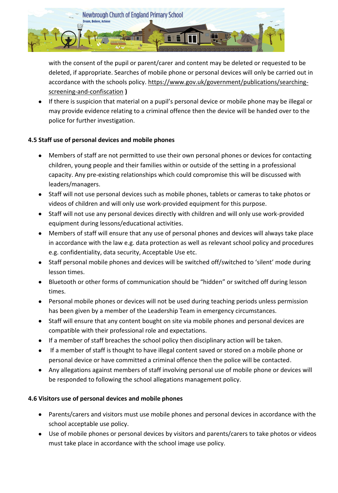

with the consent of the pupil or parent/carer and content may be deleted or requested to be deleted, if appropriate. Searches of mobile phone or personal devices will only be carried out in accordance with the schools policy. [https://www.gov.uk/government/publications/searching](https://www.gov.uk/government/publications/searching-screening-and-confiscation)[screening-and-confiscation](https://www.gov.uk/government/publications/searching-screening-and-confiscation) **)**

 If there is suspicion that material on a pupil's personal device or mobile phone may be illegal or may provide evidence relating to a criminal offence then the device will be handed over to the police for further investigation.

#### **4.5 Staff use of personal devices and mobile phones**

- Members of staff are not permitted to use their own personal phones or devices for contacting children, young people and their families within or outside of the setting in a professional capacity. Any pre-existing relationships which could compromise this will be discussed with leaders/managers.
- Staff will not use personal devices such as mobile phones, tablets or cameras to take photos or videos of children and will only use work-provided equipment for this purpose.
- Staff will not use any personal devices directly with children and will only use work-provided equipment during lessons/educational activities.
- Members of staff will ensure that any use of personal phones and devices will always take place in accordance with the law e.g. data protection as well as relevant school policy and procedures e.g. confidentiality, data security, Acceptable Use etc.
- Staff personal mobile phones and devices will be switched off/switched to 'silent' mode during lesson times.
- Bluetooth or other forms of communication should be "hidden" or switched off during lesson times.
- Personal mobile phones or devices will not be used during teaching periods unless permission has been given by a member of the Leadership Team in emergency circumstances.
- Staff will ensure that any content bought on site via mobile phones and personal devices are compatible with their professional role and expectations.
- If a member of staff breaches the school policy then disciplinary action will be taken.
- If a member of staff is thought to have illegal content saved or stored on a mobile phone or personal device or have committed a criminal offence then the police will be contacted.
- Any allegations against members of staff involving personal use of mobile phone or devices will be responded to following the school allegations management policy.

# **4.6 Visitors use of personal devices and mobile phones**

- Parents/carers and visitors must use mobile phones and personal devices in accordance with the school acceptable use policy.
- Use of mobile phones or personal devices by visitors and parents/carers to take photos or videos must take place in accordance with the school image use policy.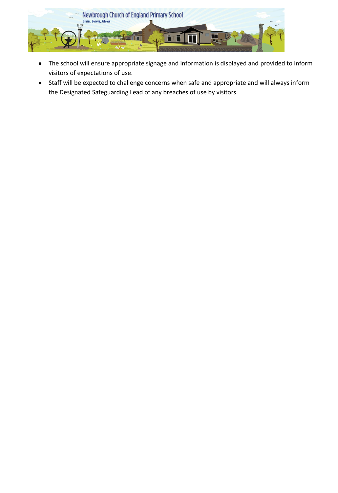

- The school will ensure appropriate signage and information is displayed and provided to inform visitors of expectations of use.
- Staff will be expected to challenge concerns when safe and appropriate and will always inform the Designated Safeguarding Lead of any breaches of use by visitors.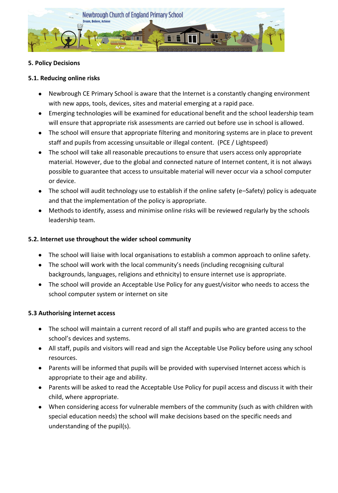

#### **5. Policy Decisions**

#### **5.1. Reducing online risks**

- Newbrough CE Primary School is aware that the Internet is a constantly changing environment with new apps, tools, devices, sites and material emerging at a rapid pace.
- Emerging technologies will be examined for educational benefit and the school leadership team will ensure that appropriate risk assessments are carried out before use in school is allowed.
- The school will ensure that appropriate filtering and monitoring systems are in place to prevent staff and pupils from accessing unsuitable or illegal content. (PCE / Lightspeed)
- The school will take all reasonable precautions to ensure that users access only appropriate material. However, due to the global and connected nature of Internet content, it is not always possible to guarantee that access to unsuitable material will never occur via a school computer or device.
- The school will audit technology use to establish if the online safety (e–Safety) policy is adequate and that the implementation of the policy is appropriate.
- Methods to identify, assess and minimise online risks will be reviewed regularly by the schools leadership team.

#### **5.2. Internet use throughout the wider school community**

- The school will liaise with local organisations to establish a common approach to online safety.
- The school will work with the local community's needs (including recognising cultural backgrounds, languages, religions and ethnicity) to ensure internet use is appropriate.
- The school will provide an Acceptable Use Policy for any guest/visitor who needs to access the school computer system or internet on site

#### **5.3 Authorising internet access**

- The school will maintain a current record of all staff and pupils who are granted access to the school's devices and systems.
- All staff, pupils and visitors will read and sign the Acceptable Use Policy before using any school resources.
- Parents will be informed that pupils will be provided with supervised Internet access which is appropriate to their age and ability.
- Parents will be asked to read the Acceptable Use Policy for pupil access and discuss it with their child, where appropriate.
- When considering access for vulnerable members of the community (such as with children with special education needs) the school will make decisions based on the specific needs and understanding of the pupil(s).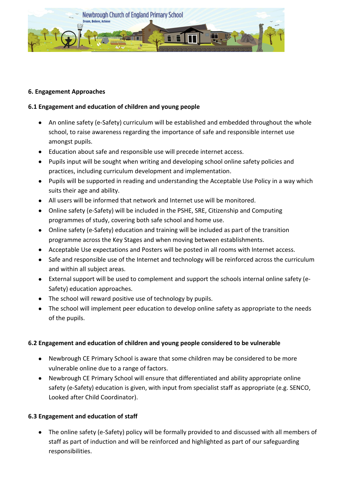

#### **6. Engagement Approaches**

#### **6.1 Engagement and education of children and young people**

- An online safety (e-Safety) curriculum will be established and embedded throughout the whole school, to raise awareness regarding the importance of safe and responsible internet use amongst pupils.
- Education about safe and responsible use will precede internet access.
- Pupils input will be sought when writing and developing school online safety policies and practices, including curriculum development and implementation.
- Pupils will be supported in reading and understanding the Acceptable Use Policy in a way which suits their age and ability.
- All users will be informed that network and Internet use will be monitored.
- Online safety (e-Safety) will be included in the PSHE, SRE, Citizenship and Computing programmes of study, covering both safe school and home use.
- Online safety (e-Safety) education and training will be included as part of the transition programme across the Key Stages and when moving between establishments.
- Acceptable Use expectations and Posters will be posted in all rooms with Internet access.
- Safe and responsible use of the Internet and technology will be reinforced across the curriculum and within all subject areas.
- External support will be used to complement and support the schools internal online safety (e-Safety) education approaches.
- The school will reward positive use of technology by pupils.
- The school will implement peer education to develop online safety as appropriate to the needs of the pupils.

#### **6.2 Engagement and education of children and young people considered to be vulnerable**

- Newbrough CE Primary School is aware that some children may be considered to be more vulnerable online due to a range of factors.
- Newbrough CE Primary School will ensure that differentiated and ability appropriate online safety (e-Safety) education is given, with input from specialist staff as appropriate (e.g. SENCO, Looked after Child Coordinator).

#### **6.3 Engagement and education of staff**

 The online safety (e-Safety) policy will be formally provided to and discussed with all members of staff as part of induction and will be reinforced and highlighted as part of our safeguarding responsibilities.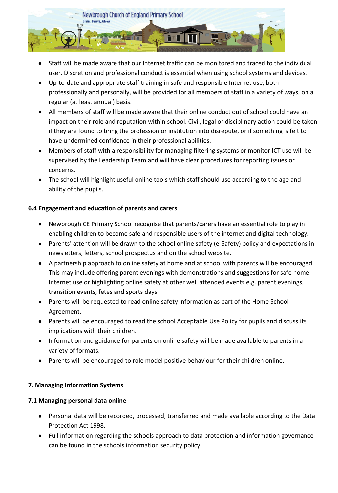

- Staff will be made aware that our Internet traffic can be monitored and traced to the individual user. Discretion and professional conduct is essential when using school systems and devices.
- Up-to-date and appropriate staff training in safe and responsible Internet use, both professionally and personally, will be provided for all members of staff in a variety of ways, on a regular (at least annual) basis.
- All members of staff will be made aware that their online conduct out of school could have an impact on their role and reputation within school. Civil, legal or disciplinary action could be taken if they are found to bring the profession or institution into disrepute, or if something is felt to have undermined confidence in their professional abilities.
- Members of staff with a responsibility for managing filtering systems or monitor ICT use will be supervised by the Leadership Team and will have clear procedures for reporting issues or concerns.
- The school will highlight useful online tools which staff should use according to the age and ability of the pupils.

#### **6.4 Engagement and education of parents and carers**

- Newbrough CE Primary School recognise that parents/carers have an essential role to play in enabling children to become safe and responsible users of the internet and digital technology.
- Parents' attention will be drawn to the school online safety (e-Safety) policy and expectations in newsletters, letters, school prospectus and on the school website.
- A partnership approach to online safety at home and at school with parents will be encouraged. This may include offering parent evenings with demonstrations and suggestions for safe home Internet use or highlighting online safety at other well attended events e.g. parent evenings, transition events, fetes and sports days.
- Parents will be requested to read online safety information as part of the Home School Agreement.
- Parents will be encouraged to read the school Acceptable Use Policy for pupils and discuss its implications with their children.
- Information and guidance for parents on online safety will be made available to parents in a variety of formats.
- Parents will be encouraged to role model positive behaviour for their children online.

# **7. Managing Information Systems**

#### **7.1 Managing personal data online**

- Personal data will be recorded, processed, transferred and made available according to the Data Protection Act 1998.
- Full information regarding the schools approach to data protection and information governance can be found in the schools information security policy.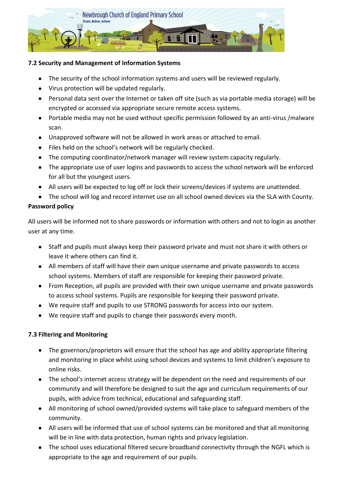

#### **7.2 Security and Management of Information Systems**

- The security of the school information systems and users will be reviewed regularly.
- Virus protection will be updated regularly.
- Personal data sent over the Internet or taken off site (such as via portable media storage) will be encrypted or accessed via appropriate secure remote access systems.
- Portable media may not be used without specific permission followed by an anti-virus /malware scan.
- Unapproved software will not be allowed in work areas or attached to email.
- Files held on the school's network will be regularly checked.
- The computing coordinator/network manager will review system capacity regularly.
- The appropriate use of user logins and passwords to access the school network will be enforced for all but the youngest users.
- All users will be expected to log off or lock their screens/devices if systems are unattended.
- The school will log and record internet use on all school owned devices via the SLA with County.

#### **Password policy**

All users will be informed not to share passwords or information with others and not to login as another user at any time.

- Staff and pupils must always keep their password private and must not share it with others or leave it where others can find it.
- All members of staff will have their own unique username and private passwords to access school systems. Members of staff are responsible for keeping their password private.
- From Reception, all pupils are provided with their own unique username and private passwords to access school systems. Pupils are responsible for keeping their password private.
- We require staff and pupils to use STRONG passwords for access into our system.
- We require staff and pupils to change their passwords every month.

#### **7.3 Filtering and Monitoring**

- The governors/proprietors will ensure that the school has age and ability appropriate filtering and monitoring in place whilst using school devices and systems to limit children's exposure to online risks.
- The school's internet access strategy will be dependent on the need and requirements of our community and will therefore be designed to suit the age and curriculum requirements of our pupils, with advice from technical, educational and safeguarding staff.
- All monitoring of school owned/provided systems will take place to safeguard members of the community.
- All users will be informed that use of school systems can be monitored and that all monitoring will be in line with data protection, human rights and privacy legislation.
- The school uses educational filtered secure broadband connectivity through the NGFL which is appropriate to the age and requirement of our pupils.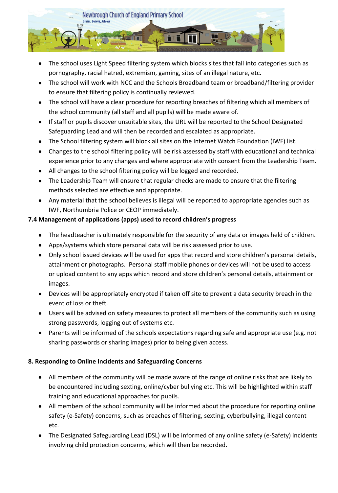

- The school uses Light Speed filtering system which blocks sites that fall into categories such as pornography, racial hatred, extremism, gaming, sites of an illegal nature, etc.
- The school will work with NCC and the Schools Broadband team or broadband/filtering provider to ensure that filtering policy is continually reviewed.
- The school will have a clear procedure for reporting breaches of filtering which all members of the school community (all staff and all pupils) will be made aware of.
- If staff or pupils discover unsuitable sites, the URL will be reported to the School Designated Safeguarding Lead and will then be recorded and escalated as appropriate.
- The School filtering system will block all sites on the Internet Watch Foundation (IWF) list.
- Changes to the school filtering policy will be risk assessed by staff with educational and technical experience prior to any changes and where appropriate with consent from the Leadership Team.
- All changes to the school filtering policy will be logged and recorded.
- The Leadership Team will ensure that regular checks are made to ensure that the filtering methods selected are effective and appropriate.
- Any material that the school believes is illegal will be reported to appropriate agencies such as IWF, Northumbria Police or CEOP immediately.

# **7.4 Management of applications (apps) used to record children's progress**

- The headteacher is ultimately responsible for the security of any data or images held of children.
- Apps/systems which store personal data will be risk assessed prior to use.
- Only school issued devices will be used for apps that record and store children's personal details, attainment or photographs. Personal staff mobile phones or devices will not be used to access or upload content to any apps which record and store children's personal details, attainment or images.
- Devices will be appropriately encrypted if taken off site to prevent a data security breach in the event of loss or theft.
- Users will be advised on safety measures to protect all members of the community such as using strong passwords, logging out of systems etc.
- Parents will be informed of the schools expectations regarding safe and appropriate use (e.g. not sharing passwords or sharing images) prior to being given access.

# **8. Responding to Online Incidents and Safeguarding Concerns**

- All members of the community will be made aware of the range of online risks that are likely to be encountered including sexting, online/cyber bullying etc. This will be highlighted within staff training and educational approaches for pupils.
- All members of the school community will be informed about the procedure for reporting online safety (e-Safety) concerns, such as breaches of filtering, sexting, cyberbullying, illegal content etc.
- The Designated Safeguarding Lead (DSL) will be informed of any online safety (e-Safety) incidents involving child protection concerns, which will then be recorded.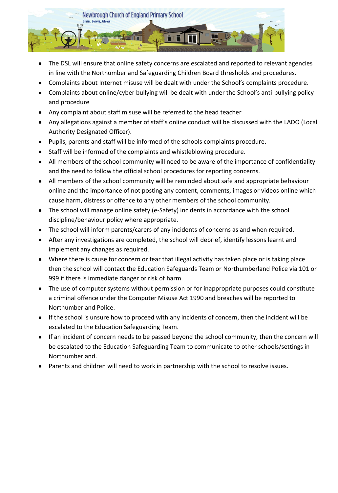

- The DSL will ensure that online safety concerns are escalated and reported to relevant agencies in line with the Northumberland Safeguarding Children Board thresholds and procedures.
- Complaints about Internet misuse will be dealt with under the School's complaints procedure.
- Complaints about online/cyber bullying will be dealt with under the School's anti-bullying policy and procedure
- Any complaint about staff misuse will be referred to the head teacher
- Any allegations against a member of staff's online conduct will be discussed with the LADO (Local Authority Designated Officer).
- Pupils, parents and staff will be informed of the schools complaints procedure.
- Staff will be informed of the complaints and whistleblowing procedure.
- All members of the school community will need to be aware of the importance of confidentiality and the need to follow the official school procedures for reporting concerns.
- All members of the school community will be reminded about safe and appropriate behaviour online and the importance of not posting any content, comments, images or videos online which cause harm, distress or offence to any other members of the school community.
- The school will manage online safety (e-Safety) incidents in accordance with the school discipline/behaviour policy where appropriate.
- The school will inform parents/carers of any incidents of concerns as and when required.
- After any investigations are completed, the school will debrief, identify lessons learnt and implement any changes as required.
- Where there is cause for concern or fear that illegal activity has taken place or is taking place then the school will contact the Education Safeguards Team or Northumberland Police via 101 or 999 if there is immediate danger or risk of harm.
- The use of computer systems without permission or for inappropriate purposes could constitute a criminal offence under the Computer Misuse Act 1990 and breaches will be reported to Northumberland Police.
- If the school is unsure how to proceed with any incidents of concern, then the incident will be escalated to the Education Safeguarding Team.
- If an incident of concern needs to be passed beyond the school community, then the concern will be escalated to the Education Safeguarding Team to communicate to other schools/settings in Northumberland.
- Parents and children will need to work in partnership with the school to resolve issues.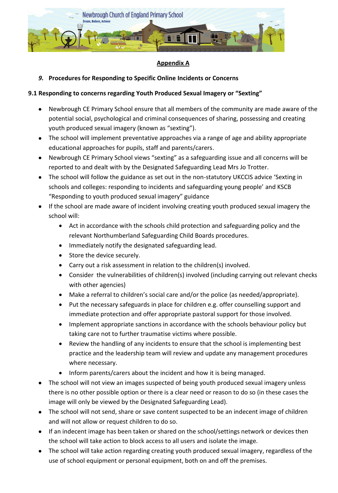

#### **Appendix A**

#### *9.* **Procedures for Responding to Specific Online Incidents or Concerns**

#### **9.1 Responding to concerns regarding Youth Produced Sexual Imagery or "Sexting"**

- Newbrough CE Primary School ensure that all members of the community are made aware of the potential social, psychological and criminal consequences of sharing, possessing and creating youth produced sexual imagery (known as "sexting").
- The school will implement preventative approaches via a range of age and ability appropriate educational approaches for pupils, staff and parents/carers.
- Newbrough CE Primary School views "sexting" as a safeguarding issue and all concerns will be reported to and dealt with by the Designated Safeguarding Lead Mrs Jo Trotter.
- The school will follow the guidance as set out in the non-statutory UKCCIS advice 'Sexting in schools and colleges: responding to incidents and safeguarding young people' and KSCB "Responding to youth produced sexual imagery" guidance
- If the school are made aware of incident involving creating youth produced sexual imagery the school will:
	- Act in accordance with the schools child protection and safeguarding policy and the relevant Northumberland Safeguarding Child Boards procedures.
	- Immediately notify the designated safeguarding lead.
	- Store the device securely.
	- Carry out a risk assessment in relation to the children(s) involved.
	- Consider the vulnerabilities of children(s) involved (including carrying out relevant checks with other agencies)
	- Make a referral to children's social care and/or the police (as needed/appropriate).
	- Put the necessary safeguards in place for children e.g. offer counselling support and immediate protection and offer appropriate pastoral support for those involved.
	- Implement appropriate sanctions in accordance with the schools behaviour policy but taking care not to further traumatise victims where possible.
	- Review the handling of any incidents to ensure that the school is implementing best practice and the leadership team will review and update any management procedures where necessary.
	- Inform parents/carers about the incident and how it is being managed.
- The school will not view an images suspected of being youth produced sexual imagery unless there is no other possible option or there is a clear need or reason to do so (in these cases the image will only be viewed by the Designated Safeguarding Lead).
- The school will not send, share or save content suspected to be an indecent image of children and will not allow or request children to do so.
- If an indecent image has been taken or shared on the school/settings network or devices then the school will take action to block access to all users and isolate the image.
- The school will take action regarding creating youth produced sexual imagery, regardless of the use of school equipment or personal equipment, both on and off the premises.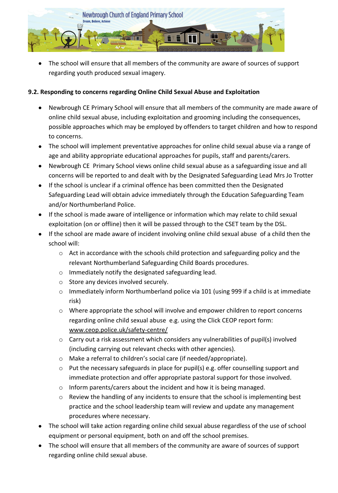

 The school will ensure that all members of the community are aware of sources of support regarding youth produced sexual imagery.

#### **9.2. Responding to concerns regarding Online Child Sexual Abuse and Exploitation**

- Newbrough CE Primary School will ensure that all members of the community are made aware of online child sexual abuse, including exploitation and grooming including the consequences, possible approaches which may be employed by offenders to target children and how to respond to concerns.
- The school will implement preventative approaches for online child sexual abuse via a range of age and ability appropriate educational approaches for pupils, staff and parents/carers.
- Newbrough CE Primary School views online child sexual abuse as a safeguarding issue and all concerns will be reported to and dealt with by the Designated Safeguarding Lead Mrs Jo Trotter
- If the school is unclear if a criminal offence has been committed then the Designated Safeguarding Lead will obtain advice immediately through the Education Safeguarding Team and/or Northumberland Police.
- If the school is made aware of intelligence or information which may relate to child sexual exploitation (on or offline) then it will be passed through to the CSET team by the DSL.
- If the school are made aware of incident involving online child sexual abuse of a child then the school will:
	- o Act in accordance with the schools child protection and safeguarding policy and the relevant Northumberland Safeguarding Child Boards procedures.
	- o Immediately notify the designated safeguarding lead.
	- o Store any devices involved securely.
	- o Immediately inform Northumberland police via 101 (using 999 if a child is at immediate risk)
	- o Where appropriate the school will involve and empower children to report concerns regarding online child sexual abuse e.g. using the Click CEOP report form: [www.ceop.police.uk/safety-centre/](http://www.ceop.police.uk/safety-centre/)
	- o Carry out a risk assessment which considers any vulnerabilities of pupil(s) involved (including carrying out relevant checks with other agencies).
	- o Make a referral to children's social care (if needed/appropriate).
	- o Put the necessary safeguards in place for pupil(s) e.g. offer counselling support and immediate protection and offer appropriate pastoral support for those involved.
	- o Inform parents/carers about the incident and how it is being managed.
	- o Review the handling of any incidents to ensure that the school is implementing best practice and the school leadership team will review and update any management procedures where necessary.
- The school will take action regarding online child sexual abuse regardless of the use of school equipment or personal equipment, both on and off the school premises.
- The school will ensure that all members of the community are aware of sources of support regarding online child sexual abuse.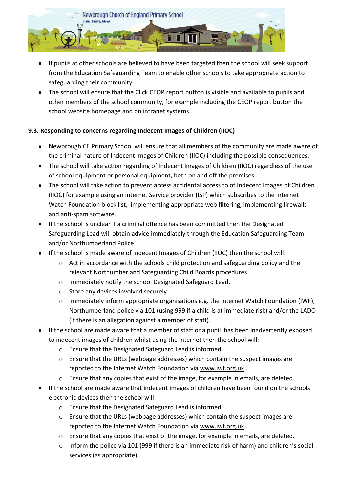

- If pupils at other schools are believed to have been targeted then the school will seek support from the Education Safeguarding Team to enable other schools to take appropriate action to safeguarding their community.
- The school will ensure that the Click CEOP report button is visible and available to pupils and other members of the school community, for example including the CEOP report button the school website homepage and on intranet systems.

# **9.3. Responding to concerns regarding Indecent Images of Children (IIOC)**

- Newbrough CE Primary School will ensure that all members of the community are made aware of the criminal nature of Indecent Images of Children (IIOC) including the possible consequences.
- The school will take action regarding of Indecent Images of Children (IIOC) regardless of the use of school equipment or personal equipment, both on and off the premises.
- The school will take action to prevent access accidental access to of Indecent Images of Children (IIOC) for example using an internet Service provider (ISP) which subscribes to the Internet Watch Foundation block list, implementing appropriate web filtering, implementing firewalls and anti-spam software.
- If the school is unclear if a criminal offence has been committed then the Designated Safeguarding Lead will obtain advice immediately through the Education Safeguarding Team and/or Northumberland Police.
- If the school is made aware of Indecent Images of Children (IIOC) then the school will:
	- o Act in accordance with the schools child protection and safeguarding policy and the relevant Northumberland Safeguarding Child Boards procedures.
	- o Immediately notify the school Designated Safeguard Lead.
	- o Store any devices involved securely.
	- $\circ$  Immediately inform appropriate organisations e.g. the Internet Watch Foundation (IWF), Northumberland police via 101 (using 999 if a child is at immediate risk) and/or the LADO (if there is an allegation against a member of staff).
- If the school are made aware that a member of staff or a pupil has been inadvertently exposed to indecent images of children whilst using the internet then the school will:
	- o Ensure that the Designated Safeguard Lead is informed.
	- $\circ$  Ensure that the URLs (webpage addresses) which contain the suspect images are reported to the Internet Watch Foundation via [www.iwf.org.uk](https://www.iwf.org.uk/) .
	- $\circ$  Ensure that any copies that exist of the image, for example in emails, are deleted.
- If the school are made aware that indecent images of children have been found on the schools electronic devices then the school will:
	- o Ensure that the Designated Safeguard Lead is informed.
	- o Ensure that the URLs (webpage addresses) which contain the suspect images are reported to the Internet Watch Foundation via [www.iwf.org.uk](https://www.iwf.org.uk/).
	- o Ensure that any copies that exist of the image, for example in emails, are deleted.
	- $\circ$  Inform the police via 101 (999 if there is an immediate risk of harm) and children's social services (as appropriate).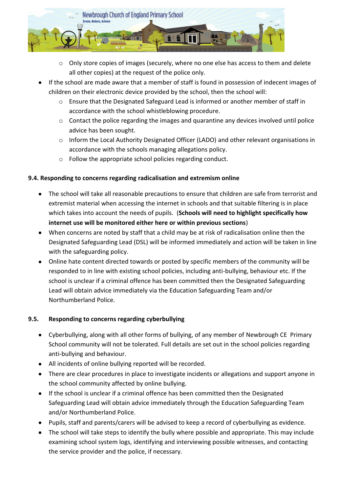

- o Only store copies of images (securely, where no one else has access to them and delete all other copies) at the request of the police only.
- If the school are made aware that a member of staff is found in possession of indecent images of children on their electronic device provided by the school, then the school will:
	- $\circ$  Ensure that the Designated Safeguard Lead is informed or another member of staff in accordance with the school whistleblowing procedure.
	- $\circ$  Contact the police regarding the images and quarantine any devices involved until police advice has been sought.
	- o Inform the Local Authority Designated Officer (LADO) and other relevant organisations in accordance with the schools managing allegations policy.
	- o Follow the appropriate school policies regarding conduct.

#### **9.4. Responding to concerns regarding radicalisation and extremism online**

- The school will take all reasonable precautions to ensure that children are safe from terrorist and extremist material when accessing the internet in schools and that suitable filtering is in place which takes into account the needs of pupils. (**Schools will need to highlight specifically how internet use will be monitored either here or within previous sections**)
- When concerns are noted by staff that a child may be at risk of radicalisation online then the Designated Safeguarding Lead (DSL) will be informed immediately and action will be taken in line with the safeguarding policy.
- Online hate content directed towards or posted by specific members of the community will be responded to in line with existing school policies, including anti-bullying, behaviour etc. If the school is unclear if a criminal offence has been committed then the Designated Safeguarding Lead will obtain advice immediately via the Education Safeguarding Team and/or Northumberland Police.

#### **9.5. Responding to concerns regarding cyberbullying**

- Cyberbullying, along with all other forms of bullying, of any member of Newbrough CE Primary School community will not be tolerated. Full details are set out in the school policies regarding anti-bullying and behaviour.
- All incidents of online bullying reported will be recorded.
- There are clear procedures in place to investigate incidents or allegations and support anyone in the school community affected by online bullying.
- If the school is unclear if a criminal offence has been committed then the Designated Safeguarding Lead will obtain advice immediately through the Education Safeguarding Team and/or Northumberland Police.
- Pupils, staff and parents/carers will be advised to keep a record of cyberbullying as evidence.
- The school will take steps to identify the bully where possible and appropriate. This may include examining school system logs, identifying and interviewing possible witnesses, and contacting the service provider and the police, if necessary.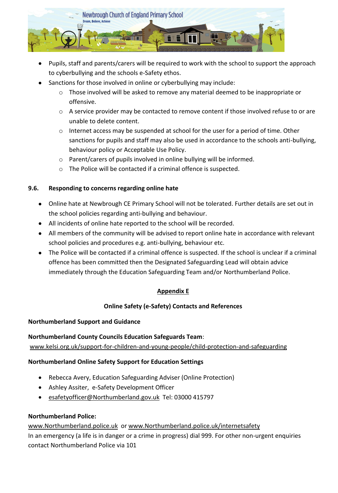

- Pupils, staff and parents/carers will be required to work with the school to support the approach to cyberbullying and the schools e-Safety ethos.
- Sanctions for those involved in online or cyberbullying may include:
	- o Those involved will be asked to remove any material deemed to be inappropriate or offensive.
	- $\circ$  A service provider may be contacted to remove content if those involved refuse to or are unable to delete content.
	- o Internet access may be suspended at school for the user for a period of time. Other sanctions for pupils and staff may also be used in accordance to the schools anti-bullying, behaviour policy or Acceptable Use Policy.
	- o Parent/carers of pupils involved in online bullying will be informed.
	- o The Police will be contacted if a criminal offence is suspected.

#### **9.6. Responding to concerns regarding online hate**

- Online hate at Newbrough CE Primary School will not be tolerated. Further details are set out in the school policies regarding anti-bullying and behaviour.
- All incidents of online hate reported to the school will be recorded.
- All members of the community will be advised to report online hate in accordance with relevant school policies and procedures e.g. anti-bullying, behaviour etc.
- The Police will be contacted if a criminal offence is suspected. If the school is unclear if a criminal offence has been committed then the Designated Safeguarding Lead will obtain advice immediately through the Education Safeguarding Team and/or Northumberland Police.

# **Appendix E**

#### **Online Safety (e-Safety) Contacts and References**

#### **Northumberland Support and Guidance**

#### **Northumberland County Councils Education Safeguards Team**:

[www.kelsi.org.uk/support-for-children-and-young-people/child-protection-and-safeguarding](http://www.kelsi.org.uk/support-for-children-and-young-people/child-protection-and-safeguarding)

#### **Northumberland Online Safety Support for Education Settings**

- Rebecca Avery, Education Safeguarding Adviser (Online Protection)
- Ashley Assiter, e-Safety Development Officer
- [esafetyofficer@Northumberland.gov.uk](mailto:esafetyofficer@kent.gov.uk) Tel: 03000 415797

#### **Northumberland Police:**

[www.Northumberland.police.uk](http://www.kent.police.uk/) or [www.Northumberland.police.uk/internetsafety](http://www.kent.police.uk/internetsafety)

In an emergency (a life is in danger or a crime in progress) dial 999. For other non-urgent enquiries contact Northumberland Police via 101